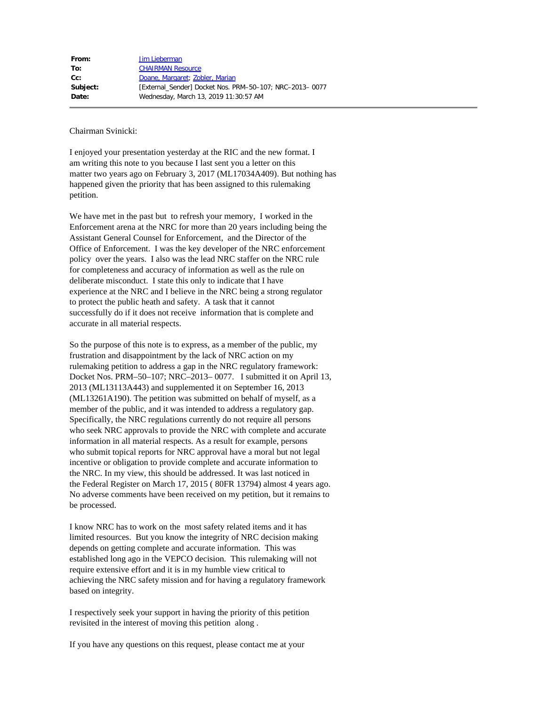| From:    | Jim Lieberman                                           |
|----------|---------------------------------------------------------|
| To:      | <b>CHAIRMAN Resource</b>                                |
| $Cc$ :   | Doane, Margaret; Zobler, Marian                         |
| Subject: | [External Sender] Docket Nos. PRM-50-107; NRC-2013-0077 |
| Date:    | Wednesday, March 13, 2019 11:30:57 AM                   |
|          |                                                         |

Chairman Svinicki:

I enjoyed your presentation yesterday at the RIC and the new format. I am writing this note to you because I last sent you a letter on this matter two years ago on February 3, 2017 (ML17034A409). But nothing has happened given the priority that has been assigned to this rulemaking petition.

We have met in the past but to refresh your memory, I worked in the Enforcement arena at the NRC for more than 20 years including being the Assistant General Counsel for Enforcement, and the Director of the Office of Enforcement. I was the key developer of the NRC enforcement policy over the years. I also was the lead NRC staffer on the NRC rule for completeness and accuracy of information as well as the rule on deliberate misconduct. I state this only to indicate that I have experience at the NRC and I believe in the NRC being a strong regulator to protect the public heath and safety. A task that it cannot successfully do if it does not receive information that is complete and accurate in all material respects.

So the purpose of this note is to express, as a member of the public, my frustration and disappointment by the lack of NRC action on my rulemaking petition to address a gap in the NRC regulatory framework: Docket Nos. PRM–50–107; NRC–2013– 0077. I submitted it on April 13, 2013 (ML13113A443) and supplemented it on September 16, 2013 (ML13261A190). The petition was submitted on behalf of myself, as a member of the public, and it was intended to address a regulatory gap. Specifically, the NRC regulations currently do not require all persons who seek NRC approvals to provide the NRC with complete and accurate information in all material respects. As a result for example, persons who submit topical reports for NRC approval have a moral but not legal incentive or obligation to provide complete and accurate information to the NRC. In my view, this should be addressed. It was last noticed in the Federal Register on March 17, 2015 ( 80FR 13794) almost 4 years ago. No adverse comments have been received on my petition, but it remains to be processed.

I know NRC has to work on the most safety related items and it has limited resources. But you know the integrity of NRC decision making depends on getting complete and accurate information. This was established long ago in the VEPCO decision. This rulemaking will not require extensive effort and it is in my humble view critical to achieving the NRC safety mission and for having a regulatory framework based on integrity.

I respectively seek your support in having the priority of this petition revisited in the interest of moving this petition along .

If you have any questions on this request, please contact me at your